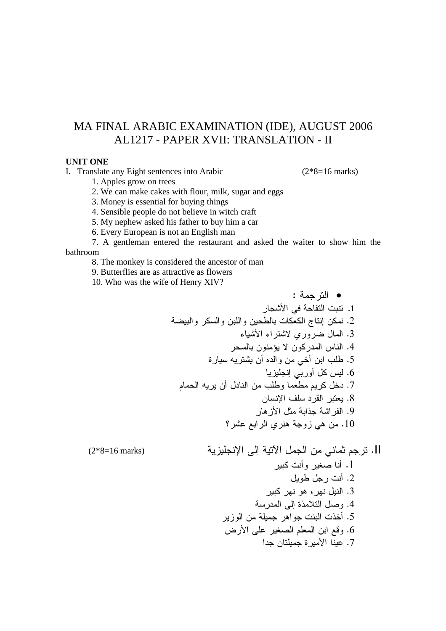## MA FINAL ARABIC EXAMINATION (IDE), AUGUST 2006 AL1217 - PAPER XVII: TRANSLATION - II

#### **UNIT ONE**

I. Translate any Eight sentences into Arabic

 $(2*8=16 \text{ marks})$ 

1. Apples grow on trees

2. We can make cakes with flour, milk, sugar and eggs

3. Money is essential for buying things

4. Sensible people do not believe in witch craft

5. My nephew asked his father to buy him a car

6. Every European is not an English man

7. A gentleman entered the restaurant and asked the waiter to show him the bathroom

8. The monkey is considered the ancestor of man

9. Butterflies are as attractive as flowers

10. Who was the wife of Henry XIV?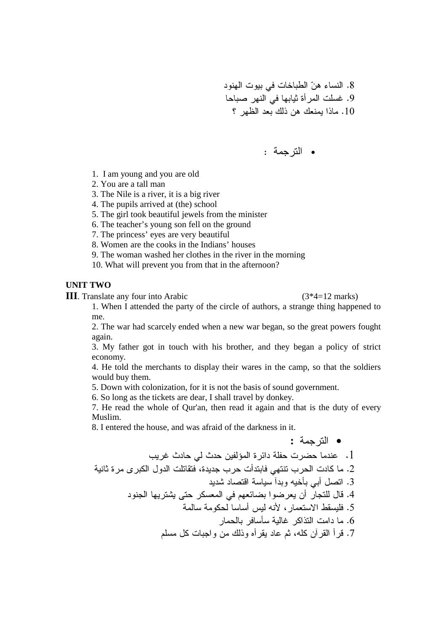8. النساء هنّ الطباخات في بيوت الهنود 9. غسلت المر أة ثيابها في النهر صباحا 10. ماذا يمنعك هن ذلك بعد الظهر ؟

• الترجمة :

- 1. I am young and you are old
- 2. You are a tall man
- 3. The Nile is a river, it is a big river
- 4. The pupils arrived at (the) school
- 5. The girl took beautiful jewels from the minister
- 6. The teacher's young son fell on the ground
- 7. The princess' eyes are very beautiful
- 8. Women are the cooks in the Indians' houses
- 9. The woman washed her clothes in the river in the morning
- 10. What will prevent you from that in the afternoon?

#### **UNIT TWO**

**III**. Translate any four into Arabic (3<sup>\*4=12</sup> marks)

1. When I attended the party of the circle of authors, a strange thing happened to me.

2. The war had scarcely ended when a new war began, so the great powers fought again.

3. My father got in touch with his brother, and they began a policy of strict economy.

4. He told the merchants to display their wares in the camp, so that the soldiers would buy them.

5. Down with colonization, for it is not the basis of sound government.

6. So long as the tickets are dear, I shall travel by donkey.

7. He read the whole of Qur'an, then read it again and that is the duty of every Muslim.

8. I entered the house, and was afraid of the darkness in it.

• الترجمة : . عندما حضرت حفلة دائر ة المؤلفين حدث لي حادث غريب 2. ما كادت الحرب تنتهي فابتدأت حرب جديدة، فتقاتلت الدول الكبر ى مر ة ثانية 3. انصل أبي بأخيه وبدأ سياسة اقتصاد شديد 4. قال للتجار أن يعرضوا بضائعهم في المعسكر حتى يشتريها الجنود 5. فليسقط الاستعمار ، لأنه ليس أساسا لحكومة سالمة . ما دامت النذاكر غالية سأسافر بالحمار 7. قرأ القرأن كله، ثم عاد يقرأه وذلك من واجبات كل مسلم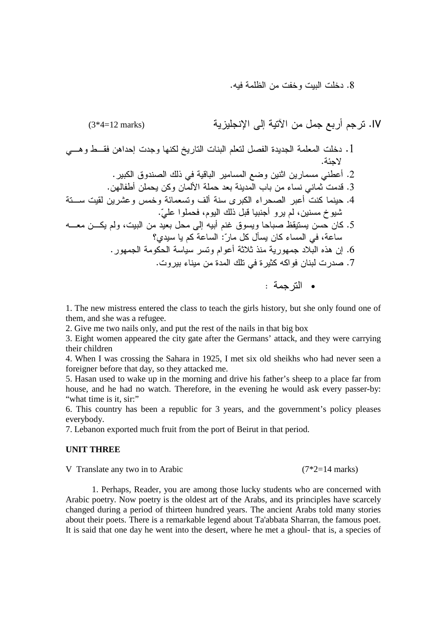8. دخلت البيت وخفت من الظلمة فيه.

 (3\*4=12 marks) - - .IV H1 H0 1\$ \$ 9 I- "8 &\$\$ \*\$ .1 . D . - J\$8 B3 > - K6 2 - 5( .2 . 9( \$ \$ + 2 \$> .3 H 0 -5 %\* D
 /( E- -8 -5( .4 . ?5 :- B3 "> ( - - : L 'H H - : \$ " ; '( -@ J 8 A0
 .5 4!\$ - 5 :?- " "G : 5 . -9 - -5( 2<2 3 -9 \$< )31 .6 . - &\$ B
 &-2 ' -\$8 .7 : -•

1. The new mistress entered the class to teach the girls history, but she only found one of them, and she was a refugee.

2. Give me two nails only, and put the rest of the nails in that big box

3. Eight women appeared the city gate after the Germans' attack, and they were carrying their children

4. When I was crossing the Sahara in 1925, I met six old sheikhs who had never seen a foreigner before that day, so they attacked me.

5. Hasan used to wake up in the morning and drive his father's sheep to a place far from house, and he had no watch. Therefore, in the evening he would ask every passer-by: "what time is it, sir:"

6. This country has been a republic for 3 years, and the government's policy pleases everybody.

7. Lebanon exported much fruit from the port of Beirut in that period.

## **UNIT THREE**

V Translate any two in to Arabic (7\*2=14 marks)

 1. Perhaps, Reader, you are among those lucky students who are concerned with Arabic poetry. Now poetry is the oldest art of the Arabs, and its principles have scarcely changed during a period of thirteen hundred years. The ancient Arabs told many stories about their poets. There is a remarkable legend about Ta'abbata Sharran, the famous poet. It is said that one day he went into the desert, where he met a ghoul- that is, a species of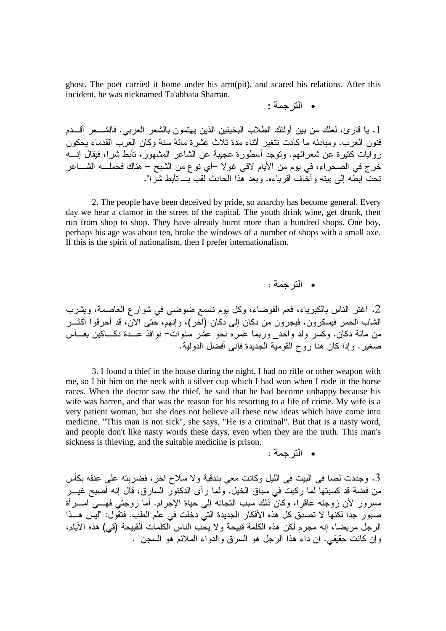ghost. The poet carried it home under his arm(pit), and scared his relations. After this incident, he was nicknamed Ta'abbata Sharran.

 : -•

1. يا قارئ، لعلك من بين أولئك الطلاب البخيتين الذين يهتمون بالشعر العربي. فالشـــعر أقـــدم فنون العرب. ومبادئه ما كادت تتغير أثناء مدة ثلاث عشرة مائة سنة وكان العرب القدماء يحكون روايات كثيرة عن شعرائهم. وتوجد أسطورة عجيبة عن الشاعر المشهور، تأبط شرا، فيقال إنــــه خرج في الصـحر اء، في يوم من الأيام لاقى غو لا –أي نوع من الشبح – هناك فحملــــه الشـــــاعر تحت ابطه إلى بيته وأخاف أقرباءه. وبعد هذا الحادث لقب بــــ"تأبط شرا".

2. The people have been deceived by pride, so anarchy has become general. Every day we hear a clamor in the street of the capital. The youth drink wine, get drunk, then run from shop to shop. They have already burnt more than a hundred shops. One boy, perhaps his age was about ten, broke the windows of a number of shops with a small axe. If this is the spirit of nationalism, then I prefer internationalism.

• الترجمة :

2. اغتر الناس بالكبرياء، فعم الفوضاء، وكل يوم نسمع ضوضىي في شوارع العاصمة، ويشرب الشاب الخمر فيسكرون، فيجرون من دكان إلى دكان (أخر)، وإنهم، حتى الأن، قد أحرقوا أكثـــر من مائة دكان. وكسر ولد واحد\_ وربما عمره نحو عشر سنوات− نوافذ عـــدة دكـــاكين بفـــأس صغير . وإذا كان هنا روح القومية الجديدة فإني أفضل الدولية.

3. I found a thief in the house during the night. I had no rifle or other weapon with me, so I hit him on the neck with a silver cup which I had won when I rode in the horse races. When the doctor saw the thief, he said that he had become unhappy because his wife was barren, and that was the reason for his resorting to a life of crime. My wife is a very patient woman, but she does not believe all these new ideas which have come into medicine. "This man is not sick", she says, "He is a criminal". But that is a nasty word, and people don't like nasty words these days, even when they are the truth. This man's sickness is thieving, and the suitable medicine is prison.

 : -•

3. وجددت لصـا في البيت في الليل وكانت معي بندقية و لا سلاح أخر ، فضربته علـى عنقه بكأس من فضة قد كسبتها لما ركبت في سباق الخيل. ولما رأى الدكتور السارق، قال إنه أصبح غيـــر مسرور لأن زوجته عاقرًا، وكان ذلك سبب التجائه إلى حياة الإجرام. أما زوجتي فهـــي امـــرأة صبور جدا لكنها لا تصدق كل هذه الأفكار الجديدة التي دخلت في علم الطب. فتقول: "ليس هـــذا الرجل مريضـا، إنه مجرم لكن هذه الكلمة قبيحة ولا يحب الناس الكلمات القبيحة (قي) هذه الأيام، وإن كانت حقيقي. إن داء هذا الرجل هو السرق والدواء الملائم هو السجن" .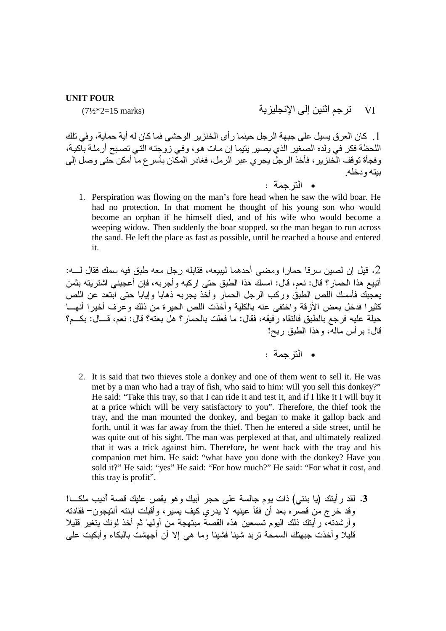#### **UNIT FOUR**

 $(7\frac{1}{2}*2=15 \text{ marks})$ 

[ . كان العر ق يسيل على جبهة الرجل حينما ر أي الخنز ير الوحشي فما كان له أية حماية، وفي تلك اللحظة فكر في ولده الصغير الذي يصير يتيما إن مـات هو، وفـي زوجتـه التـي تصـبح أرملـة بـآكيـة،

• الترحمة :

تر جم اثنين الى الانجليز بة

VI

ببته و دخله

1. Perspiration was flowing on the man's fore head when he saw the wild boar. He had no protection. In that moment he thought of his young son who would become an orphan if he himself died, and of his wife who would become a weeping widow. Then suddenly the boar stopped, so the man began to run across the sand. He left the place as fast as possible, until he reached a house and entered it.

وفجأة توقف الَّخنَّزير ، فأخذُ الرجلُ يجرِي عبرِ الرمل، فغادر المكَّانُ بأسر ع ما أمكن حتى وصل إلى

2. قبل إن لصين سر قا حمار ا ومضبي أحدهما ليبيعه، فقابله ر جل معه طبق فيه سمك فقال لـــه: .<br>أنتبيع هذا الحمار؟ قال: نعم، قال: امسك هذا الطبق حتى اركبه وأجربه، فإن أعجبنـي اشتريته بثمن يعجِّبك فأمسك اللص الطبق وركب الرجل الحمار وأخذ يجربه ذهابا وإياباً حتى ابتعد عن اللص كثيرا فدخل بعض الأزقة واختفى عنه بالكلية وأخذت اللص الحيرة من ذلك وعرف أخيرا أنهــا حلِلة عليه فرجع بالطبق فالنقاه رفيقه، فقال: ما فعلت بالحمار؟ هلَّ بعته؟ قال: نعم، قـــال: بكـــم؟ قال: برأس ماله، وهذا الطبق ربح!

2. It is said that two thieves stole a donkey and one of them went to sell it. He was met by a man who had a tray of fish, who said to him: will you sell this donkey?" He said: "Take this tray, so that I can ride it and test it, and if I like it I will buy it at a price which will be very satisfactory to you". Therefore, the thief took the tray, and the man mounted the donkey, and began to make it gallop back and forth, until it was far away from the thief. Then he entered a side street, until he was quite out of his sight. The man was perplexed at that, and ultimately realized that it was a trick against him. Therefore, he went back with the tray and his companion met him. He said: "what have you done with the donkey? Have you sold it?" He said: "yes" He said: "For how much?" He said: "For what it cost, and this tray is profit".

3. لقد رأيتك (يا بنتبي) ذات يوم جالسة على حجر أبيك وهو يقص عليك قصة أديب ملكـــا! وقد خرج من قصره بعد أن فقأ عينيه لاّ يدري كيف يسير ، وأُقبلت ابنته أنتيجون– فقادته وأرشدته، رأيتك ذلك اليوم تسمعين هذه القصةٌ مبتهجة من أولمها ثم أخذ لونك يتغير قليلا قليلا وأخذت جبهتك السمحة نربد شيئا فشيئا وما هي إلا أن أجهشت بالبكاء وأبكيت على

<sup>•</sup> الترجمة :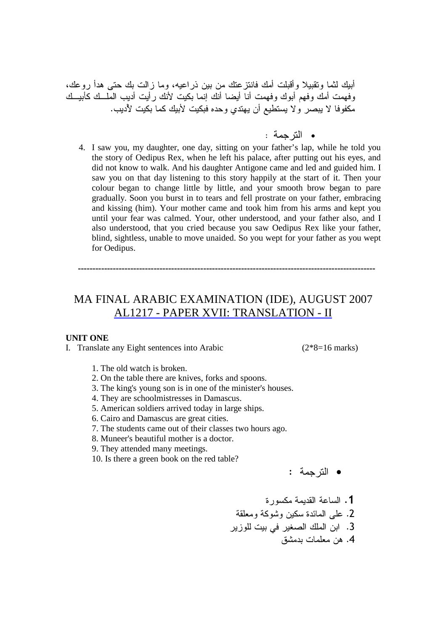أبيك لثما وتقبيلا وأقبلت أمك فانتزعتك من بين ذراعيه، وما زالت بك حتى هدأ روعك، وفهمت أمك وفهم أبوك وفهمت أنا أيضا أنك إنما بكيت لأنك رأيت أديب الملسك كأبيسك مكفوفًا لا يبصر ولا يستطيع أن يهتدي وحده فبكيت لأبيك كما بكيت لأديب.

- الترجمة :
- 4. I saw you, my daughter, one day, sitting on your father's lap, while he told you the story of Oedipus Rex, when he left his palace, after putting out his eyes, and did not know to walk. And his daughter Antigone came and led and guided him. I saw you on that day listening to this story happily at the start of it. Then your colour began to change little by little, and your smooth brow began to pare gradually. Soon you burst in to tears and fell prostrate on your father, embracing and kissing (him). Your mother came and took him from his arms and kept you until your fear was calmed. Your, other understood, and your father also, and I also understood, that you cried because you saw Oedipus Rex like your father, blind, sightless, unable to move unaided. So you wept for your father as you wept for Oedipus.

------------------------------------------------------------------------------------------------------

# MA FINAL ARABIC EXAMINATION (IDE), AUGUST 2007 AL1217 - PAPER XVII: TRANSLATION - II

#### **UNIT ONE**

I. Translate any Eight sentences into Arabic (2\*8=16 marks)

- 1. The old watch is broken.
- 2. On the table there are knives, forks and spoons.
- 3. The king's young son is in one of the minister's houses.
- 4. They are schoolmistresses in Damascus.
- 5. American soldiers arrived today in large ships.
- 6. Cairo and Damascus are great cities.
- 7. The students came out of their classes two hours ago.
- 8. Muneer's beautiful mother is a doctor.
- 9. They attended many meetings.
- 10. Is there a green book on the red table?

• الترجمة :

1. الساعة القديمة مكسورة  $\ddot{a}$ 2. على المائدة سكين وشوكة ومعل<mark>ق</mark> 3. ابن الملك الصغير في بيت للوزير 4. هن معلمات بدمشق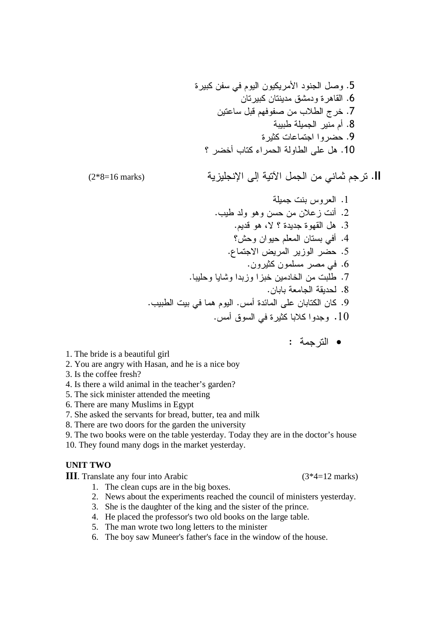&-  - - \$ "8 .5 
- 
\$ J\$ &-10 .6 
5 "> -9 8 +< -\* .7 - -( .8 &-2 5
 - .9 4 -\*( +
 - ;5 "1 .10

(2\*8=16 marks) 
 - - 
- . II

- 1. العروس بنت جميلة 2. أنت ز علان من حسن و هو ولد طيب. . هل القهو ة جدبدة ؟ لا، هو قدبم . $3$ 4. أفي بستان المعلم حيوان وحش؟ 5. حضر الوزير المريض الاجتماع. 6. في مصر مسلمون كثيرون. 7. طلبت من الخادمين خبز ا وزبدا وشايا وحليبا. 8. لحديقة الجامعة بابان. 9. كان الكتابان على المائدة أمس. اليوم هما في بيت الطبيب. . وجدوا كلابا كثيرة في السوق أمس.  $10\,$ 
	- الترجمة :

- 1. The bride is a beautiful girl
- 2. You are angry with Hasan, and he is a nice boy
- 3. Is the coffee fresh?
- 4. Is there a wild animal in the teacher's garden?
- 5. The sick minister attended the meeting
- 6. There are many Muslims in Egypt
- 7. She asked the servants for bread, butter, tea and milk
- 8. There are two doors for the garden the university

9. The two books were on the table yesterday. Today they are in the doctor's house

10. They found many dogs in the market yesterday.

#### **UNIT TWO**

**III**. Translate any four into Arabic (3\*4=12 marks)

- 1. The clean cups are in the big boxes. 2. News about the experiments reached the council of ministers yesterday.
- 3. She is the daughter of the king and the sister of the prince.
- 4. He placed the professor's two old books on the large table.
- 5. The man wrote two long letters to the minister
- 6. The boy saw Muneer's father's face in the window of the house.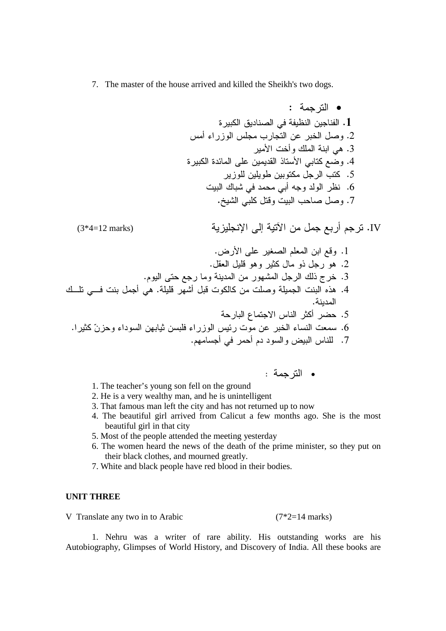7. The master of the house arrived and killed the Sheikh's two dogs.

 : - • &- J\$8 A  . 1 %( -, % +- 5 -\* "8 .2 - \*( B 1 .3 &- &\$D ;5 \$0 3

 6 .4 -, 
 "- +
 .5 B \$ ( ' \$ -A .6 .I "
> +8 "8 . <sup>7</sup>

(3\*4=12 marks) - - .IV

. =- ;5 -78 - 6> .1 . "0 "> 1 -2 " 3 "- 1 .2 .- ;
 6- \$ -9 "- B3 -\* .3 BH
 H "( 1 . > -9( "> 8 )31 .4 . \$ - Q
 % -2( - .5 .-2 ?, \$ 92 -, %D- 5 -\* .6 .-9( -( -\$ \$ = % .7

• الترجمة :

- 1. The teacher's young son fell on the ground
- 2. He is a very wealthy man, and he is unintelligent
- 3. That famous man left the city and has not returned up to now
- 4. The beautiful girl arrived from Calicut a few months ago. She is the most beautiful girl in that city
- 5. Most of the people attended the meeting yesterday
- 6. The women heard the news of the death of the prime minister, so they put on their black clothes, and mourned greatly.
- 7. White and black people have red blood in their bodies.

### **UNIT THREE**

V Translate any two in to Arabic (7\*2=14 marks)

 1. Nehru was a writer of rare ability. His outstanding works are his Autobiography, Glimpses of World History, and Discovery of India. All these books are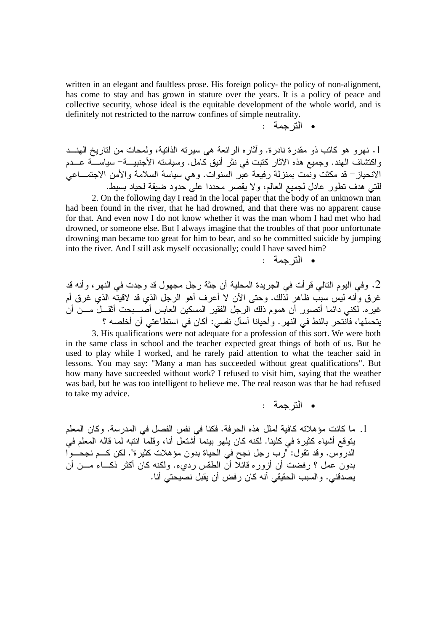written in an elegant and faultless prose. His foreign policy- the policy of non-alignment, has come to stay and has grown in stature over the years. It is a policy of peace and collective security, whose ideal is the equitable development of the whole world, and is definitely not restricted to the narrow confines of simple neutrality.

 : -•

1. نـهرو هو كاتب ذو مقدرة نادرة. وأثاره الرائعة هي سيرته الذاتية، ولمحات من لتاريخ الـهنـــد واكتشاف الهند. وجميع هذه الأثار كتبت في نثر أنيق كامل. وسياسته الأجنبيـــة– سياســــة عــــدم الانحياز – قد مكثت ونمت بمنزلة رفيعة عبر السنوات. وهي سياسة السلامة والأمن الاجتمـــاعي للتي هدف تطور عادل لجميع العالم، ولا يقصر محددا على حدود ضيقة لحياد بسيط.

2. On the following day I read in the local paper that the body of an unknown man had been found in the river, that he had drowned, and that there was no apparent cause for that. And even now I do not know whether it was the man whom I had met who had drowned, or someone else. But I always imagine that the troubles of that poor unfortunate drowning man became too great for him to bear, and so he committed suicide by jumping into the river. And I still ask myself occasionally; could I have saved him?

• الترجمة :

2. وفي اليوم التالي قر أت في الجريدة المحلية أن جثة رجل مجهول قد وجدت في النهر ، و أنه قد غرق وأنه ليس سبب ظاهر لذلك. وحتى الأن لا أعرف أهو الرجل الذي قد لاقيته الذي غرق أم غير ه. لكني دائما أتصور أن هموم ذلك الرجل الفقير المسكين العابس أصــــبحت أثقـــل مــــن أن يتحملها، فانتحر بالنط في النهر . وأحيانا أسأل نفسي: أكان في استطاعتي أن أخلصه ؟

3. His qualifications were not adequate for a profession of this sort. We were both in the same class in school and the teacher expected great things of both of us. But he used to play while I worked, and he rarely paid attention to what the teacher said in lessons. You may say: "Many a man has succeeded without great qualifications". But how many have succeeded without work? I refused to visit him, saying that the weather was bad, but he was too intelligent to believe me. The real reason was that he had refused to take my advice.

- الترجمة :
- 1. ما كانت مؤهلاته كافية لمثل هذه الحرفة. فكنا في نفس الفصل في المدرسة. وكان المعلم يتوقع أشياء كثيرة في كلينا. لكنه كان يلهو بينما أشتعل أنا، وقلما انتبه لما قاله المعلم في الدروس. وقد تقول: "رب رجل نجح في الحياة بدون مؤهلات كثيرة". لكن كــم نجحـــوا بدون عمل ؟ رفضت أن أزوره قائلا أن الطقس رديء. ولكنه كان أكثر ذكـــاء مـــن أن يصدقني. والسبب الحقيقي أنه كان رفض أن يقبل نصيحتي أنا.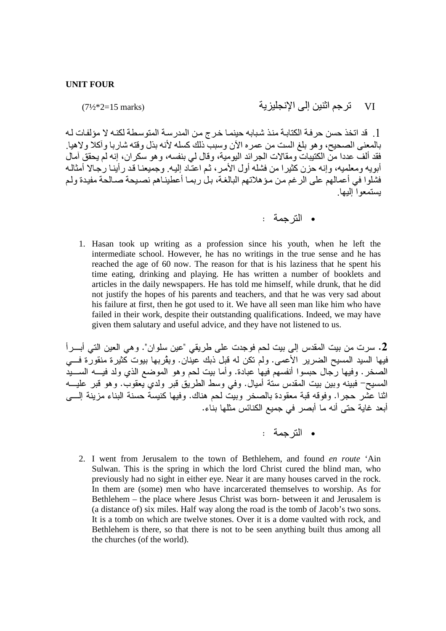$(7\frac{1}{2}*2=15 \text{ marks})$ 

تر جم اثنين إلى الإنجليز ية VI

1. قد اتخذ حسن حرفة الكتابة منذ شبابه حينمـا خرج من المدرسـة المتوسـطة لكنـه لا مؤلفـات لـه بالمعنى الصحيح، وهو بلغ الست من عمره الأن وسبب ذلكَ كسله لأنه بذلٌ وقته شاربا وأكلًا ولاهيا. فقد ألفٌ عددا منَّ الكتيبات ومقالات الجرائد اليومية، وقال لي بنفسه، و هو سكر ان، إنه لم يحقق آمال أبويه ومعلميه، وإنه حزن كثير ا من فشله أول الأمر ، ثم اعتَّاد إليه. وجميعنـا قد ر أينـا رجـالا أمثالـه فشلوا في أعمالهم على الرغم من مؤهلاتهم البالغة، بل ربما أعطيناهم نصبحة صىالحة مفيدة ولم بستمعوا الدها

1. Hasan took up writing as a profession since his youth, when he left the intermediate school. However, he has no writings in the true sense and he has reached the age of 60 now. The reason for that is his laziness that he spent his time eating, drinking and playing. He has written a number of booklets and articles in the daily newspapers. He has told me himself, while drunk, that he did not justify the hopes of his parents and teachers, and that he was very sad about his failure at first, then he got used to it. We have all seen man like him who have failed in their work, despite their outstanding qualifications. Indeed, we may have given them salutary and useful advice, and they have not listened to us.

2. سرت من بيت المقدس إلى بيت لحم فوجدت على طريقي "عين سلوان". وهي العين التي أبـــراً فيها السيد المسيح الضر بر الأعمى. ولم تكن له قبل ذبك عيِّنان. ويقُر بها بيوت كَثير ة منقورٌ ة فـــي الصخر . وفيها رَّجال حبسوا أنفسهم فيها عبادة. وأما بيت لحم وهو الموضع الذي ولد فيـــه الســـيدُ المسيحِّ– فُبينه وبين بيت المقدس سنة أميال. وفي وسط الطريق قبر ولدي يعقوب. وهو قبر عليـــه اثنا عشر حجرا. وفوقه قبة معقودة بالصخر وبيت لحم هناك. وفيها كنيسة حسنة البناء مزينة إلــــى أبعد غاية حتى أنه ما أبصر في جميع الكنائس مثلها بناء.

• الترحمة :

2. I went from Jerusalem to the town of Bethlehem, and found en route 'Ain Sulwan. This is the spring in which the lord Christ cured the blind man, who previously had no sight in either eye. Near it are many houses carved in the rock. In them are (some) men who have incarcerated themselves to worship. As for Bethlehem – the place where Jesus Christ was born- between it and Jerusalem is (a distance of) six miles. Half way along the road is the tomb of Jacob's two sons. It is a tomb on which are twelve stones. Over it is a dome vaulted with rock, and Bethlehem is there, so that there is not to be seen anything built thus among all the churches (of the world).

<sup>•</sup> الترجمة :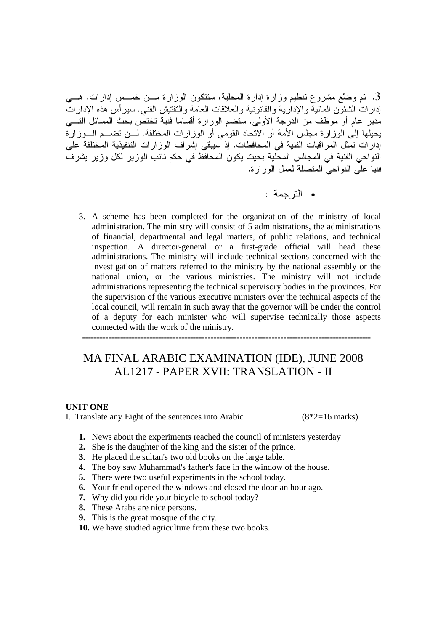3. تم وضْع مشروع نتظيم وزارة إدارة المحلية، ستتكون الوزارة مـــن خمـــس إدارات. هـــي إدارات الشئون المالية والإدارية والقانونية والعلاقات العامة والتفتيش الفني. سيرأس هذه الإدارات مدير عام أو موظف من الدرجة الأولى. ستضم الوزارة أقساما فنية تختص بحث المسائل التـــي يحيلها إلى الوزارة مجلس الأمة أو الاتحاد القومي أو الوزارات المختلفة. لـــن تضـــم الـــوزارة إدار ات تمثل المر اقبات الفنية في المحافظات. إذ سيبقى إشر اف الوز ار ات التنفيذية المختلفة على النواحي الفنية في المجالس المحلية بحيث يكون المحافظ في حكم نائب الوزير لكل وزير يشرف فنيا على النواحي المتصلة لعمل الوزارة.

- الترجمة :
- 3. A scheme has been completed for the organization of the ministry of local administration. The ministry will consist of 5 administrations, the administrations of financial, departmental and legal matters, of public relations, and technical inspection. A director-general or a first-grade official will head these administrations. The ministry will include technical sections concerned with the investigation of matters referred to the ministry by the national assembly or the national union, or the various ministries. The ministry will not include administrations representing the technical supervisory bodies in the provinces. For the supervision of the various executive ministers over the technical aspects of the local council, will remain in such away that the governor will be under the control of a deputy for each minister who will supervise technically those aspects connected with the work of the ministry.

#### ---------------------------------------------------------------------------------------------------

## MA FINAL ARABIC EXAMINATION (IDE), JUNE 2008 AL1217 - PAPER XVII: TRANSLATION - II

### **UNIT ONE**

I. Translate any Eight of the sentences into Arabic (8\*2=16 marks)

- **1.** News about the experiments reached the council of ministers yesterday
- **2.** She is the daughter of the king and the sister of the prince.
- **3.** He placed the sultan's two old books on the large table.
- **4.** The boy saw Muhammad's father's face in the window of the house.
- **5.** There were two useful experiments in the school today.
- **6.** Your friend opened the windows and closed the door an hour ago.
- **7.** Why did you ride your bicycle to school today?
- **8.** These Arabs are nice persons.
- **9.** This is the great mosque of the city.
- **10.** We have studied agriculture from these two books.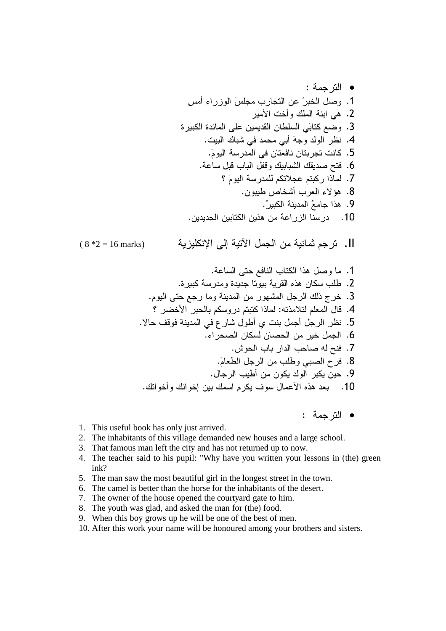ll. ترجم ثمانية من الجمل الآتية إلى الإنكليزية  $(8 * 2 = 16$  marks)

• الترجمة :

- 1. This useful book has only just arrived.
- 2. The inhabitants of this village demanded new houses and a large school.
- 3. That famous man left the city and has not returned up to now.
- 4. The teacher said to his pupil: "Why have you written your lessons in (the) green ink?
- 5. The man saw the most beautiful girl in the longest street in the town.
- 6. The camel is better than the horse for the inhabitants of the desert.
- 7. The owner of the house opened the courtyard gate to him.
- 8. The youth was glad, and asked the man for (the) food.
- 9. When this boy grows up he will be one of the best of men.
- 10. After this work your name will be honoured among your brothers and sisters.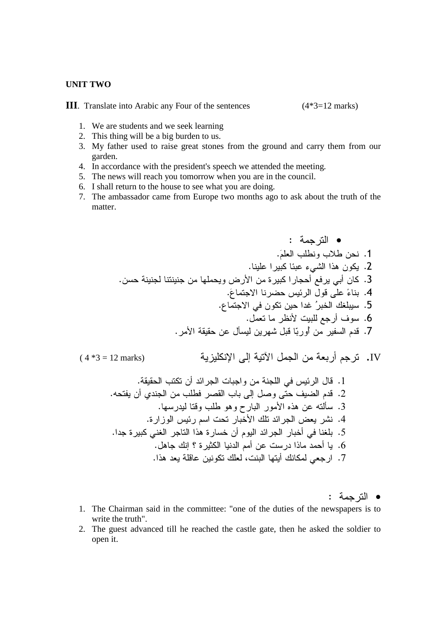#### **UNIT TWO**

**III**. Translate into Arabic any Four of the sentences (4\*3=12 marks)

- 1. We are students and we seek learning
- 2. This thing will be a big burden to us.
- 3. My father used to raise great stones from the ground and carry them from our garden.
- 4. In accordance with the president's speech we attended the meeting.
- 5. The news will reach you tomorrow when you are in the council.
- 6. I shall return to the house to see what you are doing.
- 7. The ambassador came from Europe two months ago to ask about the truth of the matter.

: - • . `- + +< .1 . 5 - D5 31 .2 . 
 9 =- &- -( 6 - ( .3 .`Q
 - %D- "> ;5 b .4 .Q

 \$@ a-\* B7 .5 ."
 -A 6-( / .6 .- 00 5 "G -9 "> ?-\( - -\$> .7

( 4 \*3 = 12 marks) 
 - - .IV . 00 +

 ( \$D- %D- "> .1 . '
 ( !\$ + -80 + ; "8 ;
 / -\$> .2 .9-\$ 
> + 1 Y- - )31 5 '
G .3 .&-, %D- - 
 -\* B
 \$D- = - .4 .\$ &- 7 - 31 &-\* ( - \$D- -\*( 7 .5 ."1 B 4 &-2 \$ -( 5 -\$ 3 \$( .6 .31 \$ >5 
 B : 9
( B -.7

• الترجمة :

- 1. The Chairman said in the committee: "one of the duties of the newspapers is to write the truth".
- 2. The guest advanced till he reached the castle gate, then he asked the soldier to open it.